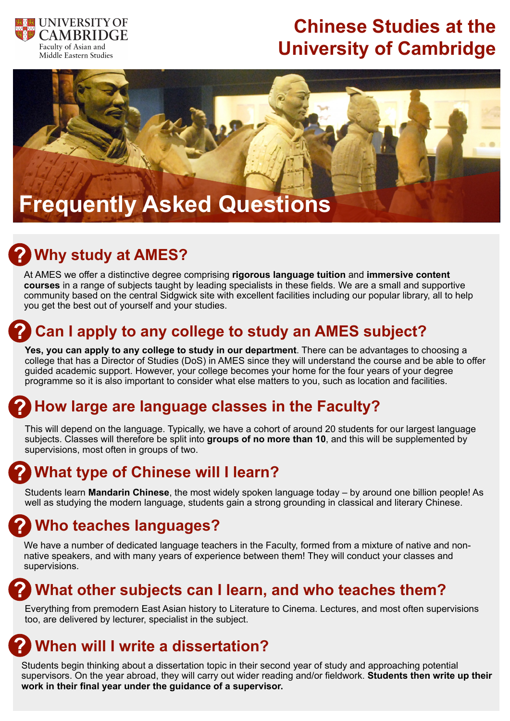

# **Chinese Studies at the University of Cambridge**



# **Why study at AMES?**

At AMES we offer a distinctive degree comprising **rigorous language tuition** and **immersive content courses** in a range of subjects taught by leading specialists in these fields. We are a small and supportive community based on the central Sidgwick site with excellent facilities including our popular library, all to help you get the best out of yourself and your studies.

## **Can I apply to any college to study an AMES subject?**

**Yes, you can apply to any college to study in our department**. There can be advantages to choosing a college that has a Director of Studies (DoS) in AMES since they will understand the course and be able to offer guided academic support. However, your college becomes your home for the four years of your degree programme so it is also important to consider what else matters to you, such as location and facilities.

## **How large are language classes in the Faculty?**

This will depend on the language. Typically, we have a cohort of around 20 students for our largest language subjects. Classes will therefore be split into **groups of no more than 10**, and this will be supplemented by supervisions, most often in groups of two.

## **What type of Chinese will I learn?**

Students learn **Mandarin Chinese**, the most widely spoken language today – by around one billion people! As well as studying the modern language, students gain a strong grounding in classical and literary Chinese.

## **Who teaches languages?**

We have a number of dedicated language teachers in the Faculty, formed from a mixture of native and nonnative speakers, and with many years of experience between them! They will conduct your classes and supervisions.

### **What other subjects can I learn, and who teaches them?**

Everything from premodern East Asian history to Literature to Cinema. Lectures, and most often supervisions too, are delivered by lecturer, specialist in the subject.

## **When will I write a dissertation?**

Students begin thinking about a dissertation topic in their second year of study and approaching potential supervisors. On the year abroad, they will carry out wider reading and/or fieldwork. **Students then write up their work in their final year under the guidance of a supervisor.**